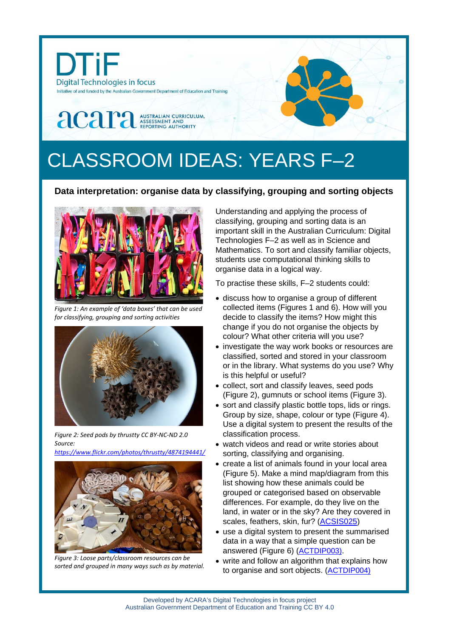

## CLASSROOM IDEAS: YEARS F–2

## **Data interpretation: organise data by classifying, grouping and sorting objects**



*Figure 1: An example of 'data boxes' that can be used for classifying, grouping and sorting activities*



*Figure 2: Seed pods by t[hrustty](https://www.flickr.com/photos/thrustty/) CC BY-NC-ND 2.0 Source:*

*<https://www.flickr.com/photos/thrustty/4874194441/>*



*Figure 3: Loose parts/classroom resources can be sorted and grouped in many ways such as by material.*

Understanding and applying the process of classifying, grouping and sorting data is an important skill in the Australian Curriculum: Digital Technologies F–2 as well as in Science and Mathematics. To sort and classify familiar objects, students use computational thinking skills to organise data in a logical way.

To practise these skills, F–2 students could:

- discuss how to organise a group of different collected items (Figures 1 and 6). How will you decide to classify the items? How might this change if you do not organise the objects by colour? What other criteria will you use?
- investigate the way work books or resources are classified, sorted and stored in your classroom or in the library. What systems do you use? Why is this helpful or useful?
- collect, sort and classify leaves, seed pods (Figure 2), gumnuts or school items (Figure 3).
- sort and classify plastic bottle tops, lids or rings. Group by size, shape, colour or type (Figure 4). Use a digital system to present the results of the classification process.
- watch videos and read or write stories about sorting, classifying and organising.
- create a list of animals found in your local area (Figure 5). Make a mind map/diagram from this list showing how these animals could be grouped or categorised based on observable differences. For example, do they live on the land, in water or in the sky? Are they covered in scales, feathers, skin, fur? [\(ACSIS025\)](http://www.scootle.edu.au/ec/search?accContentId=ACSIS025)
- use a digital system to present the summarised data in a way that a simple question can be answered (Figure 6) [\(ACTDIP003\)](http://www.scootle.edu.au/ec/search?accContentId=ACTDIP003).
- write and follow an algorithm that explains how to organise and sort objects. [\(ACTDIP004\)](http://www.scootle.edu.au/ec/search?accContentId=ACTDIP004)